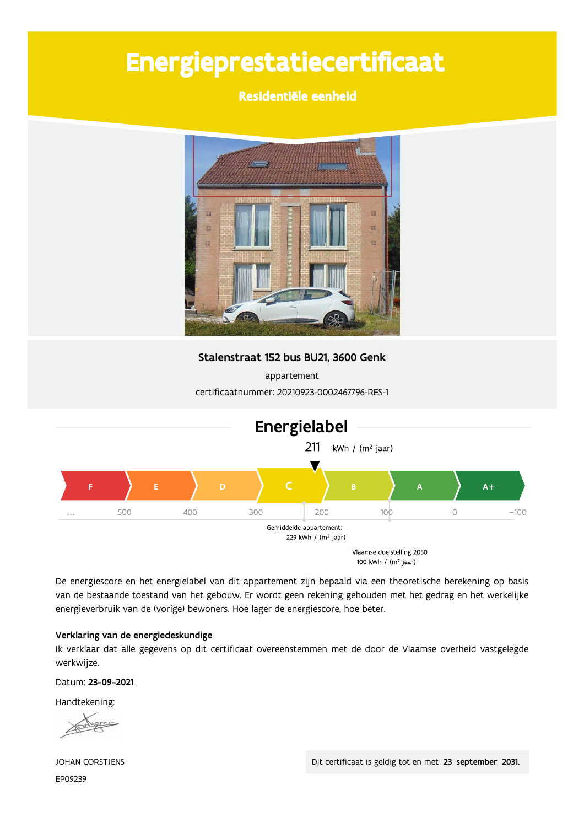# Energieprestatiecertificaat

Residentiële eenheid



Stalenstraat 152 bus BU21, 3600 Genk

appartement certificaatnummer: 20210923-0002467796-RES-1



De energiescore en het energielabel van dit appartement zijn bepaald via een theoretische berekening op basis van de bestaande toestand van het gebouw. Er wordt geen rekening gehouden met het gedrag en het werkelijke energieverbruik van de (vorige) bewoners. Hoe lager de energiescore, hoe beter.

#### Verklaring van de energiedeskundige

Ik verklaar dat alle gegevens op dit certificaat overeenstemmen met de door de Vlaamse overheid vastgelegde werkwijze.

Datum: 23-09-2021

Handtekening:

JOHAN CORSTJENS EP09239

Dit certificaat is geldig tot en met 23 september 2031.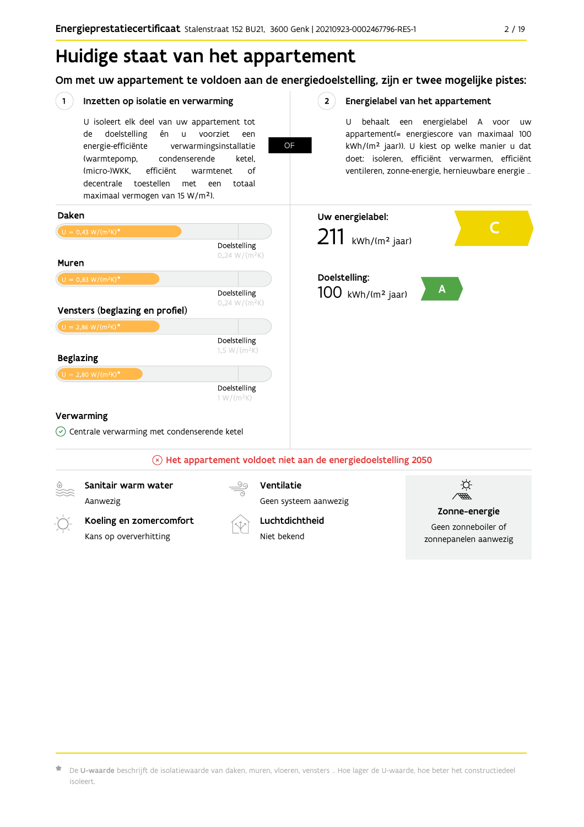## Huidige staat van het appartement

Om met uw appartement te voldoen aan de energiedoelstelling, zijn er twee mogelijke pistes:



 $\star$  De **U-waarde** beschrijft de isolatiewaarde van daken, muren, vloeren, vensters … Hoe lager de U-waarde, hoe beter het constructiedeel isoleert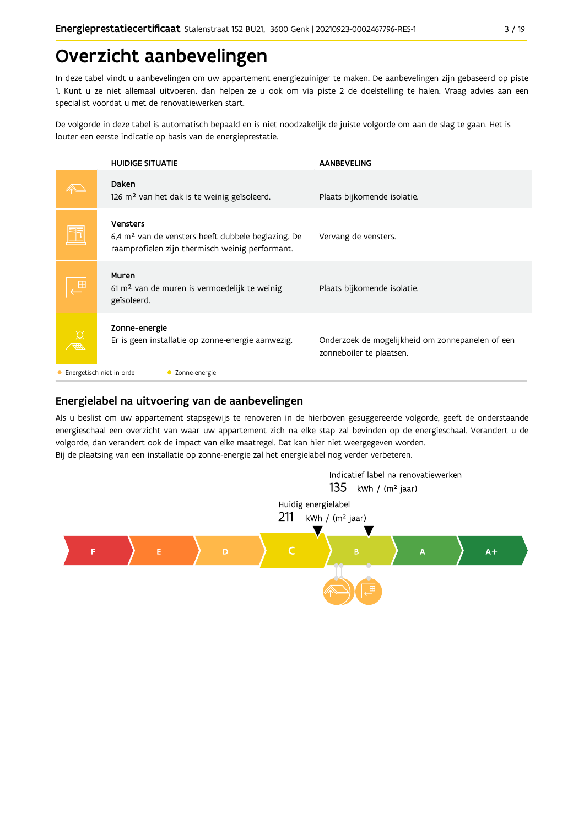## Overzicht aanbevelingen

In deze tabel vindt u aanbevelingen om uw appartement energiezuiniger te maken. De aanbevelingen zijn gebaseerd op piste 1. Kunt u ze niet allemaal uitvoeren, dan helpen ze u ook om via piste 2 de doelstelling te halen. Vraag advies aan een specialist voordat u met de renovatiewerken start.

De volgorde in deze tabel is automatisch bepaald en is niet noodzakelijk de juiste volgorde om aan de slag te gaan. Het is louter een eerste indicatie op basis van de energieprestatie.

|   | <b>HUIDIGE SITUATIE</b>                                                                                                              | <b>AANBEVELING</b>                                                           |  |  |  |  |
|---|--------------------------------------------------------------------------------------------------------------------------------------|------------------------------------------------------------------------------|--|--|--|--|
|   | Daken<br>126 m <sup>2</sup> van het dak is te weinig geïsoleerd.                                                                     | Plaats bijkomende isolatie.                                                  |  |  |  |  |
|   | <b>Vensters</b><br>6,4 m <sup>2</sup> van de vensters heeft dubbele beglazing. De<br>raamprofielen zijn thermisch weinig performant. | Vervang de vensters.                                                         |  |  |  |  |
| Æ | Muren<br>$61 \text{ m}^2$ van de muren is vermoedelijk te weinig<br>geïsoleerd.                                                      | Plaats bijkomende isolatie.                                                  |  |  |  |  |
|   | Zonne-energie<br>Er is geen installatie op zonne-energie aanwezig.                                                                   | Onderzoek de mogelijkheid om zonnepanelen of een<br>zonneboiler te plaatsen. |  |  |  |  |
|   | Energetisch niet in orde<br>• Zonne-energie                                                                                          |                                                                              |  |  |  |  |

### Energielabel na uitvoering van de aanbevelingen

Als u beslist om uw appartement stapsgewijs te renoveren in de hierboven gesuggereerde volgorde, geeft de onderstaande energieschaal een overzicht van waar uw appartement zich na elke stap zal bevinden op de energieschaal. Verandert u de volgorde, dan verandert ook de impact van elke maatregel. Dat kan hier niet weergegeven worden. Bij de plaatsing van een installatie op zonne-energie zal het energielabel nog verder verbeteren.

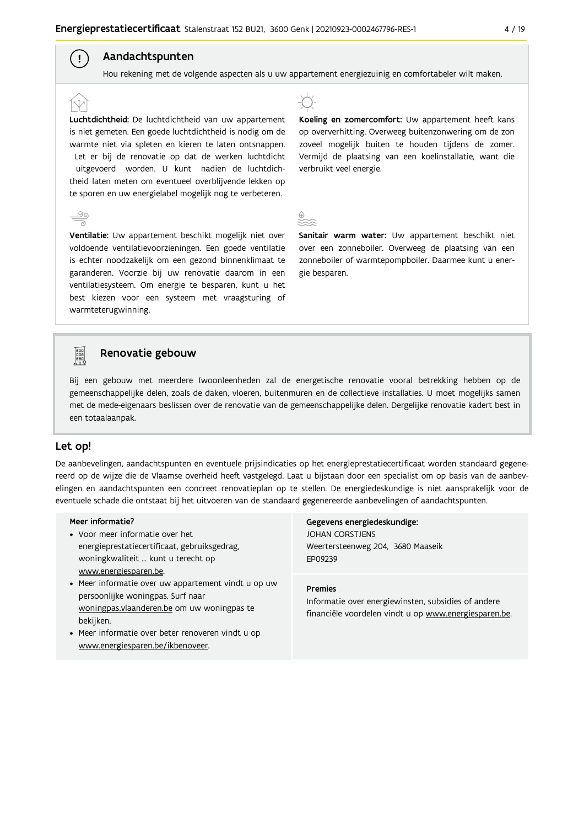### Aandachtspunten

 $\left( \begin{array}{c} 1 \end{array} \right)$ 

Hou rekening met de volgende aspecten als u uw appartement energiezuinig en comfortabeler wilt maken.

Luchtdichtheid: De luchtdichtheid van uw appartement is niet gemeten. Een goede luchtdichtheid is nodig om de warmte niet via spleten en kieren te laten ontsnappen. Let er bij de renovatie op dat de werken luchtdicht uitgevoerd worden. U kunt nadien de luchtdichtheid laten meten om eventueel overblijvende lekken op te sporen en uw energielabel mogelijk nog te verbeteren.

Ventilatie: Uw appartement beschikt mogelijk niet over voldoende ventilatievoorzieningen. Een goede ventilatie is echter noodzakelijk om een gezond binnenklimaat te garanderen. Voorzie bij uw renovatie daarom in een ventilatiesysteem. Om energie te besparen, kunt u het best kiezen voor een systeem met vraagsturing of warmteterugwinning.



Koeling en zomercomfort: Uw appartement heeft kans op oververhitting. Overweeg buitenzonwering om de zon zoveel mogelijk buiten te houden tijdens de zomer. Vermijd de plaatsing van een koelinstallatie, want die verbruikt veel energie.

Sanitair warm water: Uw appartement beschikt niet over een zonneboiler. Overweeg de plaatsing van een zonneboiler of warmtepompboiler. Daarmee kunt u energie besparen.



#### Renovatie gebouw

Bij een gebouw met meerdere (woon)eenheden zal de energetische renovatie vooral betrekking hebben op de gemeenschappelijke delen, zoals de daken, vloeren, buitenmuren en de collectieve installaties. U moet mogelijks samen met de mede-eigenaars beslissen over de renovatie van de gemeenschappelijke delen. Dergelijke renovatie kadert best in een totaalaanpak.

#### Let op!

De aanbevelingen, aandachtspunten en eventuele prijsindicaties op het energieprestatiecertificaat worden standaard gegenereerd op de wijze die de Vlaamse overheid heeft vastgelegd. Laat u bijstaan door een specialist om op basis van de aanbevelingen en aandachtspunten een concreet renovatieplan op te stellen. De energiedeskundige is niet aansprakelijk voor de eventuele schade die ontstaat bij het uitvoeren van de standaard gegenereerde aanbevelingen of aandachtspunten.

#### Meer informatie?

- Voor meer informatie over het energieprestatiecertificaat, gebruiksgedrag, woningkwaliteit ... kunt u terecht op www.energiesparen.be.
- Meer informatie over uw appartement vindt u op uw persoonlijke woningpas. Surf naar woningpas.vlaanderen.be om uw woningpas te bekijken.
- Meer informatie over beter renoveren vindt u op www.energiesparen.be/ikbenoveer.

Gegevens energiedeskundige: JOHAN CORSTJENS Weertersteenweg 204, 3680 Maaseik EP09239

#### **Premies**

Informatie over energiewinsten, subsidies of andere financiële voordelen vindt u op www.energiesparen.be.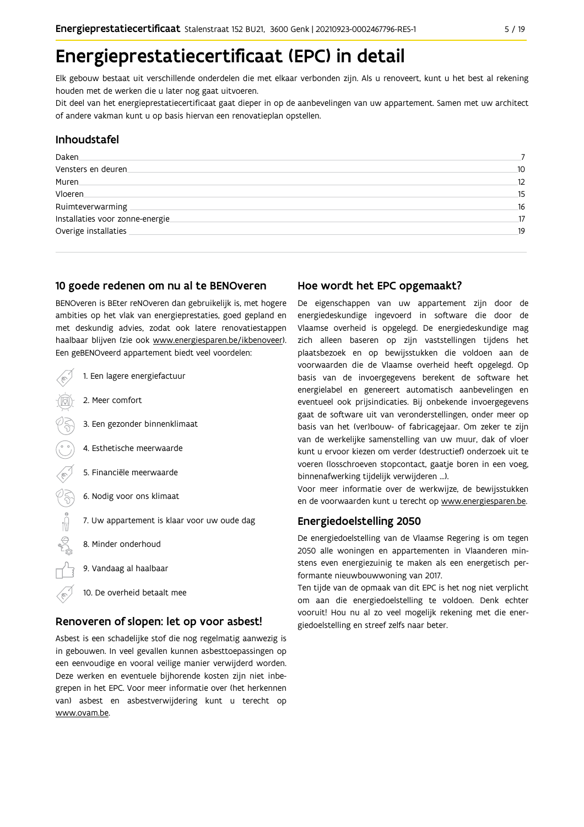## Energieprestatiecertificaat (EPC) in detail

Elk gebouw bestaat uit verschillende onderdelen die met elkaar verbonden zijn. Als u renoveert, kunt u het best al rekening houden met de werken die u later nog gaat uitvoeren.

Dit deel van het energieprestatiecertificaat gaat dieper in op de aanbevelingen van uw appartement. Samen met uw architect of andere vakman kunt u op basis hiervan een renovatieplan opstellen.

#### Inhoudstafel

| Daken                            |    |
|----------------------------------|----|
| Vensters en deuren               | 10 |
| Muren.                           | 12 |
| Vloeren                          | 15 |
| Ruimteverwarming                 | 16 |
| Installaties voor zonne-energie. | 17 |
| Overige installaties             | 19 |
|                                  |    |

#### 10 goede redenen om nu al te BENOveren

BENOveren is BEter reNOveren dan gebruikelijk is, met hogere ambities op het vlak van energieprestaties, goed gepland en met deskundig advies, zodat ook latere renovatiestappen haalbaar blijven (zie ook www.energiesparen.be/ikbenoveer). Een geBENOveerd appartement biedt veel voordelen:

| 1. Een lagere energiefactuur                |
|---------------------------------------------|
| 2. Meer comfort                             |
| 3. Een gezonder binnenklimaat               |
| 4. Esthetische meerwaarde                   |
| 5. Financiële meerwaarde                    |
| 6. Nodig voor ons klimaat                   |
| 7. Uw appartement is klaar voor uw oude dag |
| 8. Minder onderhoud                         |
| 9. Vandaag al haalbaar                      |
| 10. De overheid betaalt mee                 |

#### Renoveren of slopen: let op voor asbest!

Asbest is een schadelijke stof die nog regelmatig aanwezig is in gebouwen. In veel gevallen kunnen asbesttoepassingen op een eenvoudige en vooral veilige manier verwijderd worden. Deze werken en eventuele bijhorende kosten zijn niet inbegrepen in het EPC. Voor meer informatie over (het herkennen van) asbest en asbestverwijdering kunt u terecht op www.ovam.be.

### Hoe wordt het EPC opgemaakt?

De eigenschappen van uw appartement zijn door de energiedeskundige ingevoerd in software die door de Vlaamse overheid is opgelegd. De energiedeskundige mag zich alleen baseren op zijn vaststellingen tijdens het plaatsbezoek en op bewijsstukken die voldoen aan de voorwaarden die de Vlaamse overheid heeft opgelegd. Op basis van de invoergegevens berekent de software het energielabel en genereert automatisch aanbevelingen en eventueel ook prijsindicaties. Bij onbekende invoergegevens gaat de software uit van veronderstellingen, onder meer op basis van het (ver)bouw- of fabricagejaar. Om zeker te zijn van de werkelijke samenstelling van uw muur, dak of vloer kunt u ervoor kiezen om verder (destructief) onderzoek uit te voeren (losschroeven stopcontact, gaatje boren in een voeg, binnenafwerking tijdelijk verwijderen ...).

Voor meer informatie over de werkwijze, de bewijsstukken en de voorwaarden kunt u terecht op www.energiesparen.be.

### Energiedoelstelling 2050

De energiedoelstelling van de Vlaamse Regering is om tegen 2050 alle woningen en appartementen in Vlaanderen minstens even energiezuinig te maken als een energetisch performante nieuwbouwwoning van 2017.

Ten tijde van de opmaak van dit EPC is het nog niet verplicht om aan die energiedoelstelling te voldoen. Denk echter vooruit! Hou nu al zo veel mogelijk rekening met die energiedoelstelling en streef zelfs naar beter.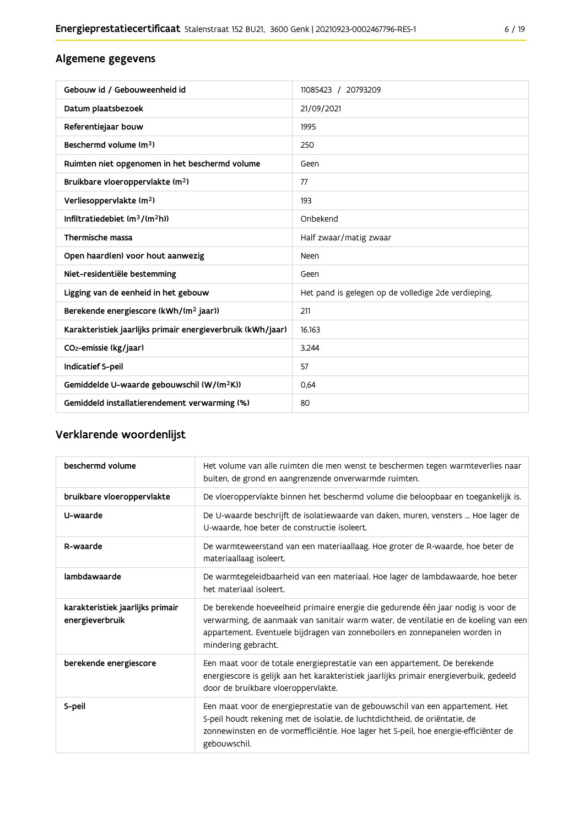## Algemene gegevens

| Gebouw id / Gebouweenheid id                                | 11085423 / 20793209                                 |
|-------------------------------------------------------------|-----------------------------------------------------|
| Datum plaatsbezoek                                          | 21/09/2021                                          |
| Referentiejaar bouw                                         | 1995                                                |
| Beschermd volume (m <sup>3</sup> )                          | 250                                                 |
| Ruimten niet opgenomen in het beschermd volume              | Geen                                                |
| Bruikbare vloeroppervlakte (m <sup>2</sup> )                | 77                                                  |
| Verliesoppervlakte (m <sup>2</sup> )                        | 193                                                 |
| Infiltratiedebiet $(m^3/(m^2h))$                            | Onbekend                                            |
| Thermische massa                                            | Half zwaar/matig zwaar                              |
| Open haard(en) voor hout aanwezig                           | Neen                                                |
| Niet-residentiële bestemming                                | Geen                                                |
| Ligging van de eenheid in het gebouw                        | Het pand is gelegen op de volledige 2de verdieping. |
| Berekende energiescore (kWh/(m <sup>2</sup> jaar))          | 211                                                 |
| Karakteristiek jaarlijks primair energieverbruik (kWh/jaar) | 16.163                                              |
| CO <sub>2</sub> -emissie (kg/jaar)                          | 3.244                                               |
| Indicatief S-peil                                           | 57                                                  |
| Gemiddelde U-waarde gebouwschil (W/(m <sup>2</sup> K))      | 0.64                                                |
| Gemiddeld installatierendement verwarming (%)               | 80                                                  |

## Verklarende woordenlijst

| beschermd volume                                    | Het volume van alle ruimten die men wenst te beschermen tegen warmteverlies naar<br>buiten, de grond en aangrenzende onverwarmde ruimten.                                                                                                                                      |
|-----------------------------------------------------|--------------------------------------------------------------------------------------------------------------------------------------------------------------------------------------------------------------------------------------------------------------------------------|
| bruikbare vloeroppervlakte                          | De vloeroppervlakte binnen het beschermd volume die beloopbaar en toegankelijk is.                                                                                                                                                                                             |
| U-waarde                                            | De U-waarde beschrijft de isolatiewaarde van daken, muren, vensters  Hoe lager de<br>U-waarde, hoe beter de constructie isoleert.                                                                                                                                              |
| R-waarde                                            | De warmteweerstand van een materiaallaag. Hoe groter de R-waarde, hoe beter de<br>materiaallaag isoleert.                                                                                                                                                                      |
| lambdawaarde                                        | De warmtegeleidbaarheid van een materiaal. Hoe lager de lambdawaarde, hoe beter<br>het materiaal isoleert.                                                                                                                                                                     |
| karakteristiek jaarlijks primair<br>energieverbruik | De berekende hoeveelheid primaire energie die gedurende één jaar nodig is voor de<br>verwarming, de aanmaak van sanitair warm water, de ventilatie en de koeling van een<br>appartement. Eventuele bijdragen van zonneboilers en zonnepanelen worden in<br>mindering gebracht. |
| berekende energiescore                              | Een maat voor de totale energieprestatie van een appartement. De berekende<br>energiescore is gelijk aan het karakteristiek jaarlijks primair energieverbuik, gedeeld<br>door de bruikbare vloeroppervlakte.                                                                   |
| S-peil                                              | Een maat voor de energieprestatie van de gebouwschil van een appartement. Het<br>S-peil houdt rekening met de isolatie, de luchtdichtheid, de oriëntatie, de<br>zonnewinsten en de vormefficiëntie. Hoe lager het S-peil, hoe energie-efficiënter de<br>gebouwschil.           |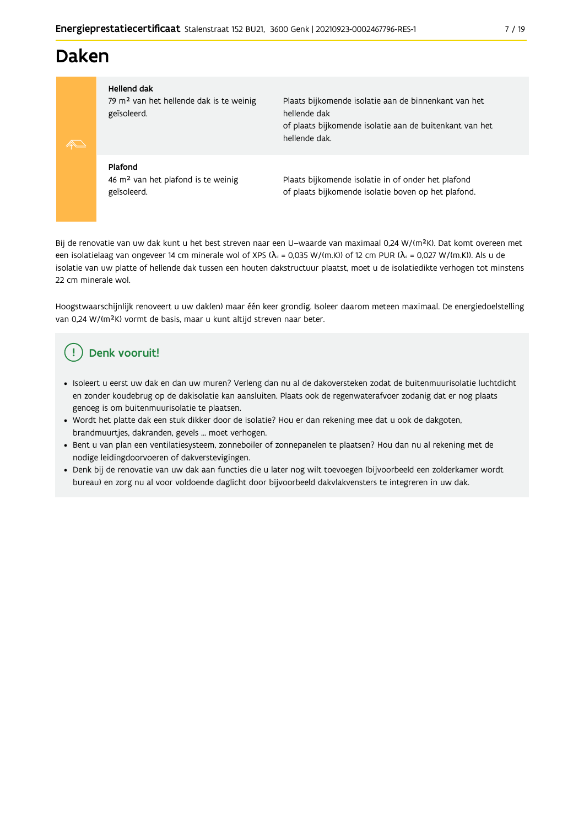## **Daken**

#### **Hellend dak**

79 m<sup>2</sup> van het hellende dak is te weinig geïsoleerd.

Plaats bijkomende isolatie aan de binnenkant van het hellende dak of plaats bijkomende isolatie aan de buitenkant van het hellende dak.

## Plafond

46 m<sup>2</sup> van het plafond is te weinig geïsoleerd.

Plaats bijkomende isolatie in of onder het plafond of plaats bijkomende isolatie boven op het plafond.

Bij de renovatie van uw dak kunt u het best streven naar een U-waarde van maximaal 0,24 W/(m<sup>2</sup>K). Dat komt overeen met een isolatielaag van ongeveer 14 cm minerale wol of XPS ( $\lambda_a$  = 0,035 W/(m.K)) of 12 cm PUR ( $\lambda_a$  = 0,027 W/(m.K)). Als u de isolatie van uw platte of hellende dak tussen een houten dakstructuur plaatst, moet u de isolatiedikte verhogen tot minstens 22 cm minerale wol.

Hoogstwaarschijnlijk renoveert u uw dak(en) maar één keer grondig. Isoleer daarom meteen maximaal. De energiedoelstelling van 0,24 W/(m<sup>2</sup>K) vormt de basis, maar u kunt altijd streven naar beter.

## Denk vooruit!

- · Isoleert u eerst uw dak en dan uw muren? Verleng dan nu al de dakoversteken zodat de buitenmuurisolatie luchtdicht en zonder koudebrug op de dakisolatie kan aansluiten. Plaats ook de regenwaterafvoer zodanig dat er nog plaats genoeg is om buitenmuurisolatie te plaatsen.
- · Wordt het platte dak een stuk dikker door de isolatie? Hou er dan rekening mee dat u ook de dakgoten, brandmuurtjes, dakranden, gevels ... moet verhogen.
- · Bent u van plan een ventilatiesysteem, zonneboiler of zonnepanelen te plaatsen? Hou dan nu al rekening met de nodige leidingdoorvoeren of dakverstevigingen.
- · Denk bij de renovatie van uw dak aan functies die u later nog wilt toevoegen (bijvoorbeeld een zolderkamer wordt bureau) en zorg nu al voor voldoende daglicht door bijvoorbeeld dakvlakvensters te integreren in uw dak.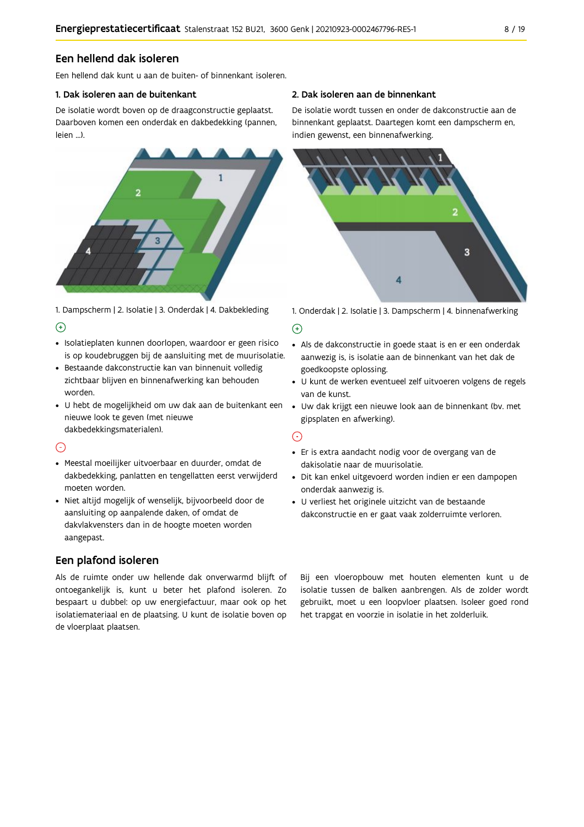### Een hellend dak isoleren

Een hellend dak kunt u aan de buiten- of binnenkant isoleren.

#### 1. Dak isoleren aan de buitenkant

De isolatie wordt boven op de draagconstructie geplaatst. Daarboven komen een onderdak en dakbedekking (pannen, leien ...).



1. Dampscherm | 2. Isolatie | 3. Onderdak | 4. Dakbekleding  $\Theta$ 

- · Isolatieplaten kunnen doorlopen, waardoor er geen risico is op koudebruggen bij de aansluiting met de muurisolatie.
- · Bestaande dakconstructie kan van binnenuit volledig zichtbaar blijven en binnenafwerking kan behouden worden.
- · U hebt de mogelijkheid om uw dak aan de buitenkant een nieuwe look te geven (met nieuwe dakbedekkingsmaterialen).

### $\odot$

- · Meestal moeilijker uitvoerbaar en duurder, omdat de dakbedekking, panlatten en tengellatten eerst verwijderd moeten worden.
- · Niet altijd mogelijk of wenselijk, bijvoorbeeld door de aansluiting op aanpalende daken, of omdat de dakvlakvensters dan in de hoogte moeten worden aangepast.

## Een plafond isoleren

Als de ruimte onder uw hellende dak onverwarmd blijft of ontoegankelijk is, kunt u beter het plafond isoleren. Zo bespaart u dubbel: op uw energiefactuur, maar ook op het isolatiemateriaal en de plaatsing. U kunt de isolatie boven op de vloerplaat plaatsen.

#### 2. Dak isoleren aan de binnenkant

De isolatie wordt tussen en onder de dakconstructie aan de binnenkant geplaatst. Daartegen komt een dampscherm en, indien gewenst, een binnenafwerking.



1. Onderdak | 2. Isolatie | 3. Dampscherm | 4. binnenafwerking

#### $\bigoplus$

- Als de dakconstructie in goede staat is en er een onderdak aanwezig is, is isolatie aan de binnenkant van het dak de goedkoopste oplossing.
- · U kunt de werken eventueel zelf uitvoeren volgens de regels van de kunst.
- · Uw dak krijgt een nieuwe look aan de binnenkant (bv. met gipsplaten en afwerking).

#### $\odot$

- · Er is extra aandacht nodig voor de overgang van de dakisolatie naar de muurisolatie.
- · Dit kan enkel uitgevoerd worden indien er een dampopen onderdak aanwezig is.
- · U verliest het originele uitzicht van de bestaande dakconstructie en er gaat vaak zolderruimte verloren.

Bij een vloeropbouw met houten elementen kunt u de isolatie tussen de balken aanbrengen. Als de zolder wordt gebruikt, moet u een loopvloer plaatsen. Isoleer goed rond het trapgat en voorzie in isolatie in het zolderluik.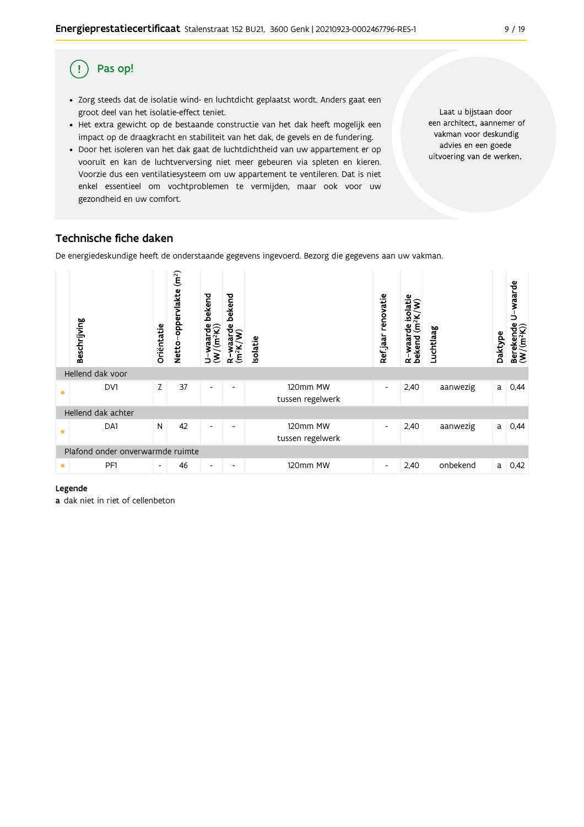#### Pas op! (!

- · Zorg steeds dat de isolatie wind- en luchtdicht geplaatst wordt. Anders gaat een groot deel van het isolatie-effect teniet.
- Het extra gewicht op de bestaande constructie van het dak heeft mogelijk een impact op de draagkracht en stabiliteit van het dak, de gevels en de fundering.
- · Door het isoleren van het dak gaat de luchtdichtheid van uw appartement er op vooruit en kan de luchtverversing niet meer gebeuren via spleten en kieren. Voorzie dus een ventilatiesysteem om uw appartement te ventileren. Dat is niet enkel essentieel om vochtproblemen te vermijden, maar ook voor uw gezondheid en uw comfort.

Laat u bijstaan door een architect, aannemer of vakman voor deskundig advies en een goede uitvoering van de werken.

## Technische fiche daken

De energiedeskundige heeft de onderstaande gegevens ingevoerd. Bezorg die gegevens aan uw vakman.



#### Legende

a dak niet in riet of cellenbeton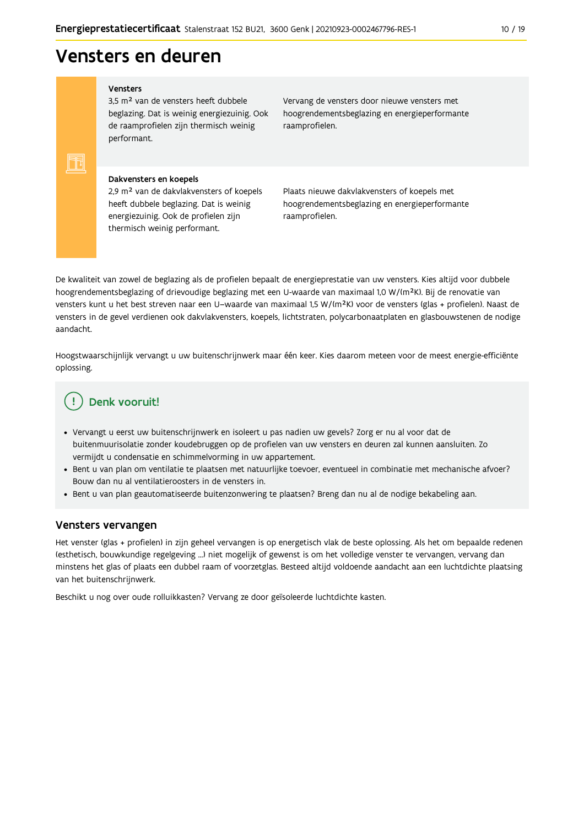## Vensters en deuren

#### Vensters

FF

3,5 m<sup>2</sup> van de vensters heeft dubbele beglazing. Dat is weinig energiezuinig. Ook de raamprofielen zijn thermisch weinig performant.

Vervang de vensters door nieuwe vensters met hoogrendementsbeglazing en energieperformante raamprofielen.

#### Dakvensters en koepels

2,9 m<sup>2</sup> van de dakvlakvensters of koepels heeft dubbele beglazing. Dat is weinig energiezuinig. Ook de profielen zijn thermisch weinig performant.

Plaats nieuwe dakvlakvensters of koepels met hoogrendementsbeglazing en energieperformante raamprofielen.

De kwaliteit van zowel de beglazing als de profielen bepaalt de energieprestatie van uw vensters. Kies altijd voor dubbele hoogrendementsbeglazing of drievoudige beglazing met een U-waarde van maximaal 1,0 W/(m<sup>2</sup>K). Bij de renovatie van vensters kunt u het best streven naar een U-waarde van maximaal 1,5 W/(m<sup>2</sup>K) voor de vensters (glas + profielen). Naast de vensters in de gevel verdienen ook dakvlakvensters, koepels, lichtstraten, polycarbonaatplaten en glasbouwstenen de nodige aandacht

Hoogstwaarschijnlijk vervangt u uw buitenschrijnwerk maar één keer. Kies daarom meteen voor de meest energie-efficiënte oplossing.

## Denk vooruit!

- · Vervangt u eerst uw buitenschrijnwerk en isoleert u pas nadien uw gevels? Zorg er nu al voor dat de buitenmuurisolatie zonder koudebruggen op de profielen van uw vensters en deuren zal kunnen aansluiten. Zo vermijdt u condensatie en schimmelvorming in uw appartement.
- Bent u van plan om ventilatie te plaatsen met natuurlijke toevoer, eventueel in combinatie met mechanische afvoer? Bouw dan nu al ventilatieroosters in de vensters in.
- · Bent u van plan geautomatiseerde buitenzonwering te plaatsen? Breng dan nu al de nodige bekabeling aan.

#### Vensters vervangen

Het venster (glas + profielen) in zijn geheel vervangen is op energetisch vlak de beste oplossing. Als het om bepaalde redenen (esthetisch, bouwkundige regelgeving ...) niet mogelijk of gewenst is om het volledige venster te vervangen, vervang dan minstens het glas of plaats een dubbel raam of voorzetglas. Besteed altijd voldoende aandacht aan een luchtdichte plaatsing van het buitenschrijnwerk.

Beschikt u nog over oude rolluikkasten? Vervang ze door geïsoleerde luchtdichte kasten.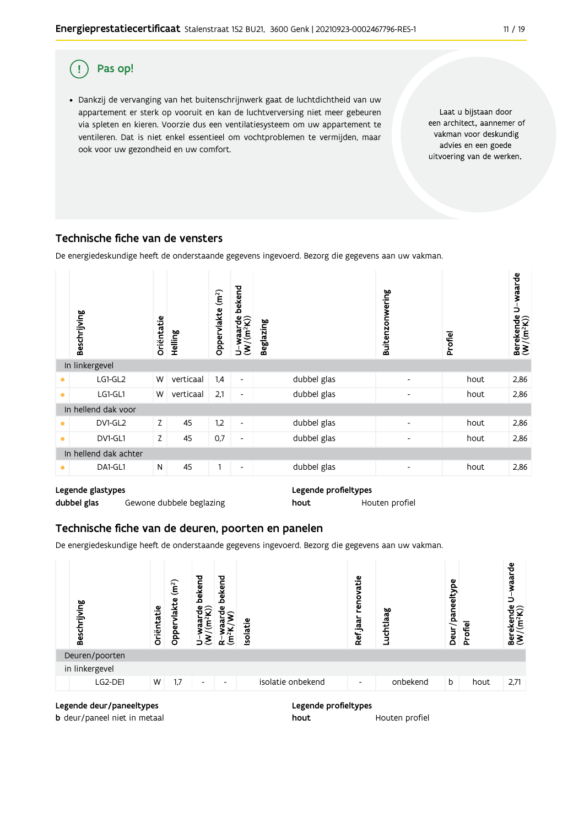

· Dankzij de vervanging van het buitenschrijnwerk gaat de luchtdichtheid van uw appartement er sterk op vooruit en kan de luchtverversing niet meer gebeuren via spleten en kieren. Voorzie dus een ventilatiesysteem om uw appartement te ventileren. Dat is niet enkel essentieel om vochtproblemen te vermijden, maar ook voor uw gezondheid en uw comfort.

Laat u bijstaan door een architect, aannemer of vakman voor deskundig advies en een goede uitvoering van de werken.

### Technische fiche van de vensters

De energiedeskundige heeft de onderstaande gegevens ingevoerd. Bezorg die gegevens aan uw vakman.

|           | Beschrijving          | Oriëntatie | Helling   | (m <sup>2</sup> )<br>Oppervlakte | bekend<br>$\frac{\mathsf{U}-\mathsf{waarde}}{\mathsf{(W/(m^2K))}}$ | <b>Beglazing</b> | Buitenzonwering          | Profiel | Berekende U-waarde<br>(W/(m <sup>2</sup> K)) |
|-----------|-----------------------|------------|-----------|----------------------------------|--------------------------------------------------------------------|------------------|--------------------------|---------|----------------------------------------------|
|           | In linkergevel        |            |           |                                  |                                                                    |                  |                          |         |                                              |
|           | LG1-GL2               | W          | verticaal | 1,4                              | $\overline{\phantom{a}}$                                           | dubbel glas      | $\overline{\phantom{a}}$ | hout    | 2,86                                         |
| $\bullet$ | LG1-GL1               | W          | verticaal | 2,1                              | $\overline{\phantom{a}}$                                           | dubbel glas      | $\overline{\phantom{a}}$ | hout    | 2,86                                         |
|           | In hellend dak voor   |            |           |                                  |                                                                    |                  |                          |         |                                              |
| $\bullet$ | DV1-GL2               | Z          | 45        | 1,2                              | $\overline{\phantom{a}}$                                           | dubbel glas      | $\overline{\phantom{a}}$ | hout    | 2,86                                         |
| $\bullet$ | DV1-GL1               | Z          | 45        | 0,7                              | $\overline{\phantom{a}}$                                           | dubbel glas      | $\overline{\phantom{a}}$ | hout    | 2,86                                         |
|           | In hellend dak achter |            |           |                                  |                                                                    |                  |                          |         |                                              |
| ۰         | DA1-GL1               | N          | 45        |                                  | $\overline{\phantom{a}}$                                           | dubbel glas      | -                        | hout    | 2,86                                         |

### Legende glastypes

dubbel glas Gewone dubbele beglazing Legende profieltypes hout Houten profiel

### Technische fiche van de deuren, poorten en panelen

De energiedeskundige heeft de onderstaande gegevens ingevoerd. Bezorg die gegevens aan uw vakman.



hout

#### Legende deur/paneeltypes

**b** deur/paneel niet in metaal

#### Legende profieltypes

Houten profiel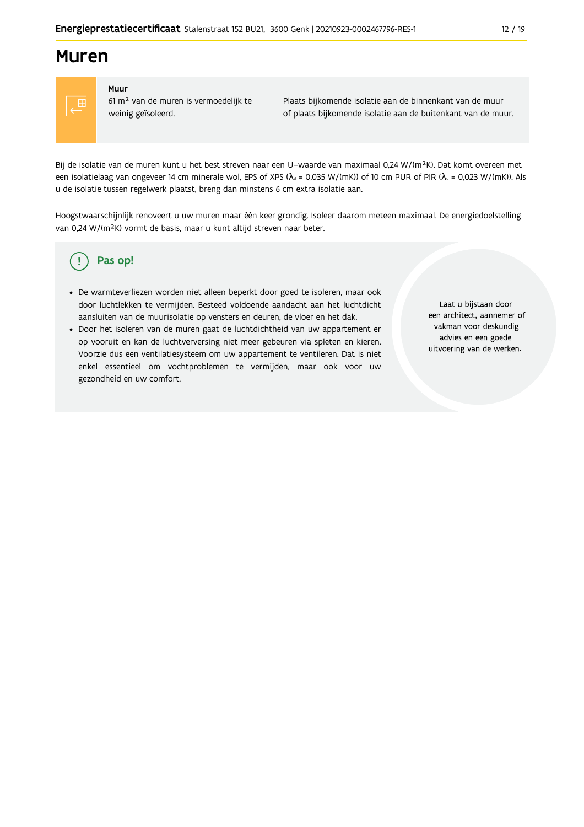## **Muren**



#### Muur

61 m<sup>2</sup> van de muren is vermoedelijk te weinig geïsoleerd.

Plaats bijkomende isolatie aan de binnenkant van de muur of plaats bijkomende isolatie aan de buitenkant van de muur.

Bij de isolatie van de muren kunt u het best streven naar een U-waarde van maximaal 0,24 W/(m<sup>2</sup>K). Dat komt overeen met een isolatielaag van ongeveer 14 cm minerale wol, EPS of XPS ( $\lambda_a$  = 0,035 W/(mK)) of 10 cm PUR of PIR ( $\lambda_a$  = 0,023 W/(mK)). Als u de isolatie tussen regelwerk plaatst, breng dan minstens 6 cm extra isolatie aan.

Hoogstwaarschijnlijk renoveert u uw muren maar één keer grondig. Isoleer daarom meteen maximaal. De energiedoelstelling van 0,24 W/(m<sup>2</sup>K) vormt de basis, maar u kunt altijd streven naar beter.

#### Pas op! (၂

- · De warmteverliezen worden niet alleen beperkt door goed te isoleren, maar ook door luchtlekken te vermijden. Besteed voldoende aandacht aan het luchtdicht aansluiten van de muurisolatie op vensters en deuren, de vloer en het dak.
- · Door het isoleren van de muren gaat de luchtdichtheid van uw appartement er op vooruit en kan de luchtverversing niet meer gebeuren via spleten en kieren. Voorzie dus een ventilatiesysteem om uw appartement te ventileren. Dat is niet enkel essentieel om vochtproblemen te vermijden, maar ook voor uw gezondheid en uw comfort.

Laat u bijstaan door een architect, aannemer of vakman voor deskundig advies en een goede uitvoering van de werken.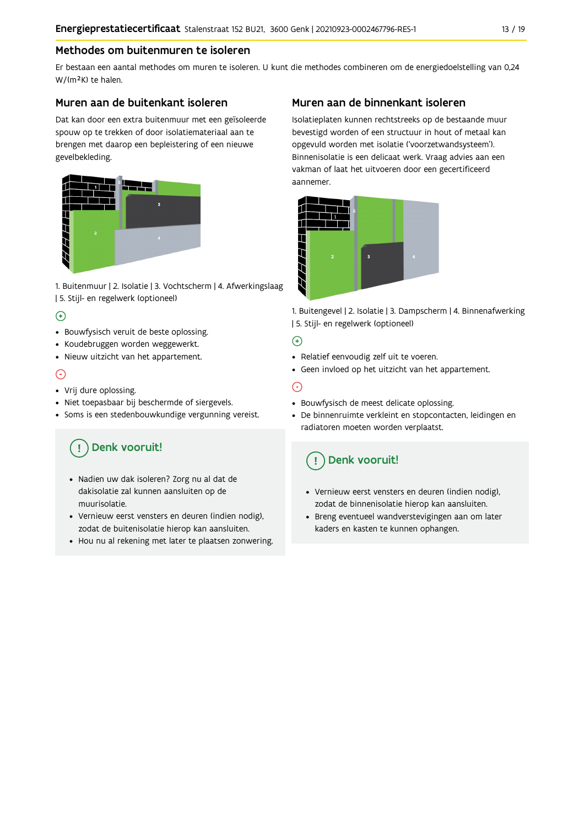#### Methodes om buitenmuren te isoleren

Er bestaan een aantal methodes om muren te isoleren. U kunt die methodes combineren om de energiedoelstelling van 0,24 W/(m<sup>2</sup>K) te halen.

#### Muren aan de buitenkant isoleren

Dat kan door een extra buitenmuur met een geïsoleerde spouw op te trekken of door isolatiemateriaal aan te brengen met daarop een bepleistering of een nieuwe gevelbekleding.



1. Buitenmuur | 2. Isolatie | 3. Vochtscherm | 4. Afwerkingslaag | 5. Stijl- en regelwerk (optioneel)

### $\bigoplus$

- Bouwfysisch veruit de beste oplossing.
- Koudebruggen worden weggewerkt.
- · Nieuw uitzicht van het appartement.

#### $\odot$

- Vrij dure oplossing.
- · Niet toepasbaar bij beschermde of siergevels.
- Soms is een stedenbouwkundige vergunning vereist.

## Denk vooruit!

- · Nadien uw dak isoleren? Zorg nu al dat de dakisolatie zal kunnen aansluiten op de muurisolatie.
- · Vernieuw eerst vensters en deuren (indien nodig), zodat de buitenisolatie hierop kan aansluiten.
- Hou nu al rekening met later te plaatsen zonwering.

### Muren aan de binnenkant isoleren

Isolatieplaten kunnen rechtstreeks op de bestaande muur bevestigd worden of een structuur in hout of metaal kan opgevuld worden met isolatie ('voorzetwandsysteem'). Binnenisolatie is een delicaat werk. Vraag advies aan een vakman of laat het uitvoeren door een gecertificeerd aannemer



1. Buitengevel | 2. Isolatie | 3. Dampscherm | 4. Binnenafwerking | 5. Stijl- en regelwerk (optioneel)

#### $\bigoplus$

- Relatief eenvoudig zelf uit te voeren.
- Geen invloed op het uitzicht van het appartement.

### ⊝

- Bouwfysisch de meest delicate oplossing.
- · De binnenruimte verkleint en stopcontacten, leidingen en radiatoren moeten worden verplaatst.

## Denk vooruit!

- Vernieuw eerst vensters en deuren (indien nodig), zodat de binnenisolatie hierop kan aansluiten.
- · Breng eventueel wandverstevigingen aan om later kaders en kasten te kunnen ophangen.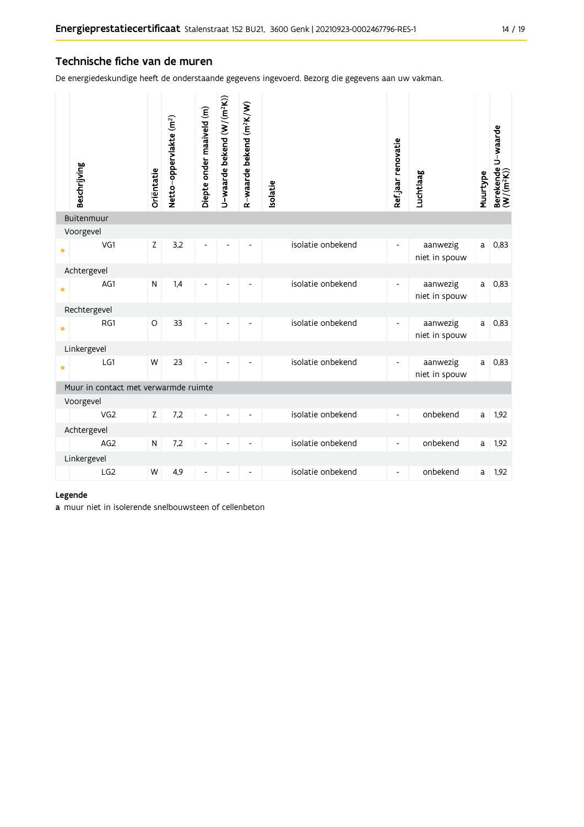#### Technische fiche van de muren

De energiedeskundige heeft de onderstaande gegevens ingevoerd. Bezorg die gegevens aan uw vakman.

|           | Beschrijving                         | Oriëntatie  | Netto-oppervlakte (m <sup>2</sup> ) | Diepte onder maaiveld (m) | U-waarde bekend (W/(m <sup>2</sup> K)) | R-waarde bekend (m <sup>2</sup> K/W) | Isolatie          | Ref jaar renovatie       | Luchtlaag                 | Muurtype | Berekende U-waarde<br>(W/(m <sup>2</sup> K)) |
|-----------|--------------------------------------|-------------|-------------------------------------|---------------------------|----------------------------------------|--------------------------------------|-------------------|--------------------------|---------------------------|----------|----------------------------------------------|
|           | Buitenmuur                           |             |                                     |                           |                                        |                                      |                   |                          |                           |          |                                              |
|           | Voorgevel                            |             |                                     |                           |                                        |                                      |                   |                          |                           |          |                                              |
| $\bullet$ | VG1                                  | $\mathsf Z$ | 3,2                                 |                           |                                        |                                      | isolatie onbekend | $\overline{\phantom{0}}$ | aanwezig<br>niet in spouw | a        | 0,83                                         |
|           | Achtergevel                          |             |                                     |                           |                                        |                                      |                   |                          |                           |          |                                              |
| $\bullet$ | AG1                                  | N           | 1,4                                 | L,                        |                                        |                                      | isolatie onbekend | ٠                        | aanwezig<br>niet in spouw | a        | 0,83                                         |
|           | Rechtergevel                         |             |                                     |                           |                                        |                                      |                   |                          |                           |          |                                              |
| $\bullet$ | RG1                                  | $\circ$     | 33                                  | ٠                         |                                        | ٠                                    | isolatie onbekend |                          | aanwezig<br>niet in spouw | a        | 0,83                                         |
|           | Linkergevel                          |             |                                     |                           |                                        |                                      |                   |                          |                           |          |                                              |
| $\bullet$ | LG1                                  | W           | 23                                  | $\overline{a}$            |                                        |                                      | isolatie onbekend | $\blacksquare$           | aanwezig<br>niet in spouw | a        | 0,83                                         |
|           | Muur in contact met verwarmde ruimte |             |                                     |                           |                                        |                                      |                   |                          |                           |          |                                              |
|           | Voorgevel                            |             |                                     |                           |                                        |                                      |                   |                          |                           |          |                                              |
|           | VG2                                  | $\mathsf Z$ | 7,2                                 | ä,                        |                                        |                                      | isolatie onbekend | $\overline{\phantom{a}}$ | onbekend                  | a        | 1,92                                         |
|           | Achtergevel                          |             |                                     |                           |                                        |                                      |                   |                          |                           |          |                                              |
|           | AG <sub>2</sub>                      | N           | 7,2                                 | L,                        |                                        |                                      | isolatie onbekend | $\blacksquare$           | onbekend                  | a        | 1,92                                         |
|           | Linkergevel                          |             |                                     |                           |                                        |                                      |                   |                          |                           |          |                                              |
|           | LG2                                  | W           | 4,9                                 | ٠                         |                                        |                                      | isolatie onbekend | L,                       | onbekend                  | a        | 1,92                                         |

#### Legende

a muur niet in isolerende snelbouwsteen of cellenbeton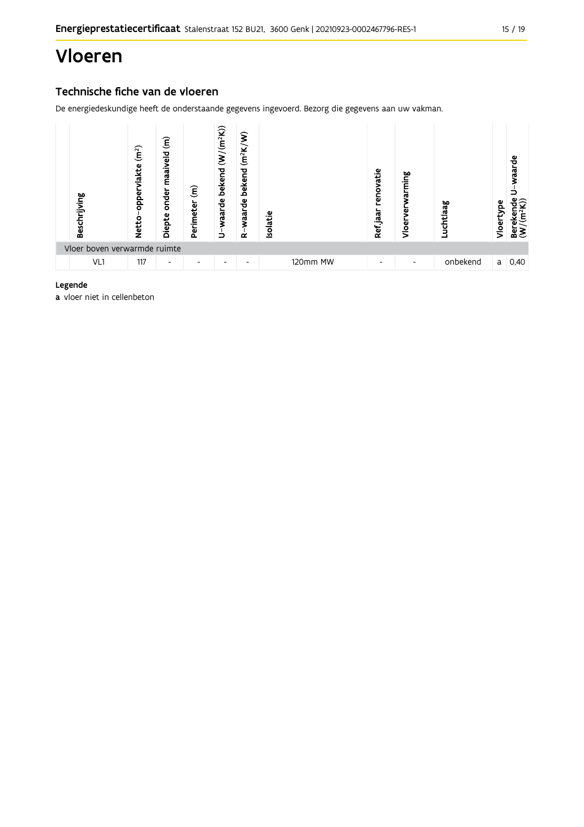## Vloeren

### Technische fiche van de vloeren

De energiedeskundige heeft de onderstaande gegevens ingevoerd. Bezorg die gegevens aan uw vakman.



#### Legende

a vloer niet in cellenbeton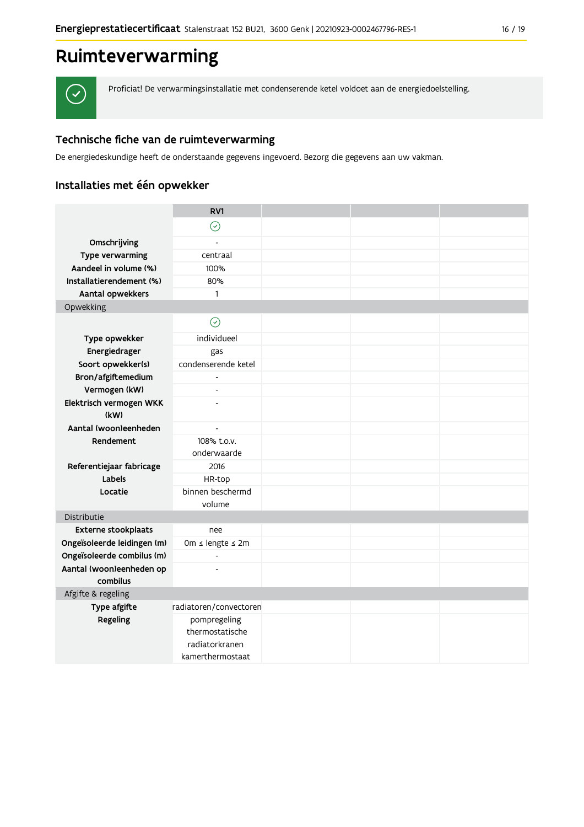

Proficiat! De verwarmingsinstallatie met condenserende ketel voldoet aan de energiedoelstelling.

### Technische fiche van de ruimteverwarming

De energiedeskundige heeft de onderstaande gegevens ingevoerd. Bezorg die gegevens aan uw vakman.

## Installaties met één opwekker

|                                                   | RV1                                                                   |  |  |
|---------------------------------------------------|-----------------------------------------------------------------------|--|--|
|                                                   | $\odot$                                                               |  |  |
| Omschrijving                                      | $\overline{a}$                                                        |  |  |
| Type verwarming                                   | centraal                                                              |  |  |
| Aandeel in volume (%)                             | 100%                                                                  |  |  |
| Installatierendement (%)                          | 80%                                                                   |  |  |
| Aantal opwekkers                                  | $\mathbf{1}$                                                          |  |  |
| Opwekking                                         |                                                                       |  |  |
|                                                   | $\odot$                                                               |  |  |
| Type opwekker                                     | individueel                                                           |  |  |
| Energiedrager                                     | gas                                                                   |  |  |
| Soort opwekker(s)                                 | condenserende ketel                                                   |  |  |
| Bron/afgiftemedium                                | $\overline{a}$                                                        |  |  |
| Vermogen (kW)                                     | $\blacksquare$                                                        |  |  |
| Elektrisch vermogen WKK                           |                                                                       |  |  |
| (kW)                                              |                                                                       |  |  |
| Aantal (woon)eenheden<br>$\overline{\phantom{a}}$ |                                                                       |  |  |
| Rendement                                         | 108% t.o.v.<br>onderwaarde                                            |  |  |
| Referentiejaar fabricage                          | 2016                                                                  |  |  |
| Labels                                            | HR-top                                                                |  |  |
| Locatie                                           | binnen beschermd                                                      |  |  |
|                                                   | volume                                                                |  |  |
| Distributie                                       |                                                                       |  |  |
| <b>Externe stookplaats</b>                        | nee                                                                   |  |  |
| Ongeïsoleerde leidingen (m)                       | 0m ≤ lengte ≤ 2m                                                      |  |  |
| Ongeïsoleerde combilus (m)                        | $\blacksquare$                                                        |  |  |
| Aantal (woon)eenheden op                          | $\overline{a}$                                                        |  |  |
| combilus                                          |                                                                       |  |  |
| Afgifte & regeling                                |                                                                       |  |  |
| Type afgifte                                      | radiatoren/convectoren                                                |  |  |
| Regeling                                          | pompregeling<br>thermostatische<br>radiatorkranen<br>kamerthermostaat |  |  |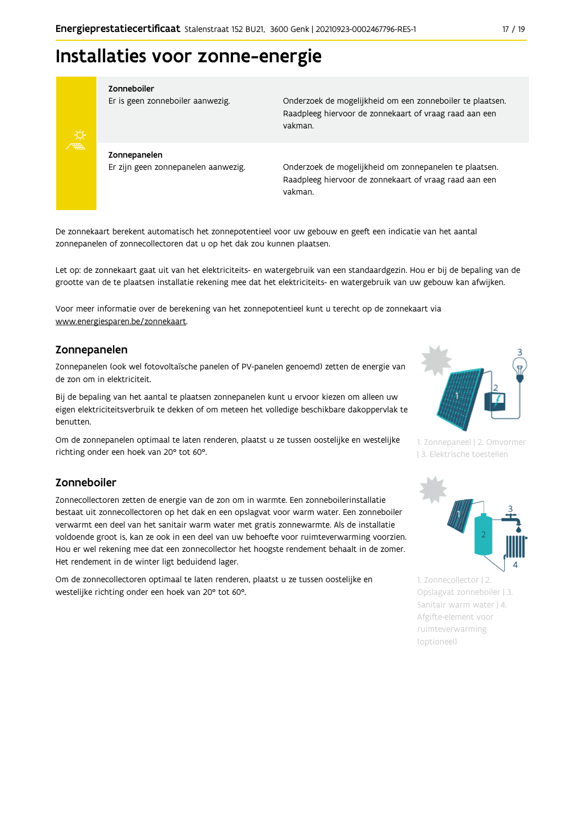## Installaties voor zonne-energie



#### Zonneboiler

Er is geen zonneboiler aanwezig.

Onderzoek de mogelijkheid om een zonneboiler te plaatsen. Raadpleeg hiervoor de zonnekaart of vraag raad aan een vakman.

Zonnepanelen Er zijn geen zonnepanelen aanwezig.

Onderzoek de mogelijkheid om zonnepanelen te plaatsen. Raadpleeg hiervoor de zonnekaart of vraag raad aan een vakman.

De zonnekaart berekent automatisch het zonnepotentieel voor uw gebouw en geeft een indicatie van het aantal zonnepanelen of zonnecollectoren dat u op het dak zou kunnen plaatsen.

Let op: de zonnekaart gaat uit van het elektriciteits- en watergebruik van een standaardgezin. Hou er bij de bepaling van de grootte van de te plaatsen installatie rekening mee dat het elektriciteits- en watergebruik van uw gebouw kan afwijken.

Voor meer informatie over de berekening van het zonnepotentieel kunt u terecht op de zonnekaart via www.energiesparen.be/zonnekaart.

#### Zonnepanelen

Zonnepanelen (ook wel fotovoltaïsche panelen of PV-panelen genoemd) zetten de energie van de zon om in elektriciteit.

Bij de bepaling van het aantal te plaatsen zonnepanelen kunt u ervoor kiezen om alleen uw eigen elektriciteitsverbruik te dekken of om meteen het volledige beschikbare dakoppervlak te benutten.

Om de zonnepanelen optimaal te laten renderen, plaatst u ze tussen oostelijke en westelijke richting onder een hoek van 20° tot 60°.

#### Zonneboiler

Zonnecollectoren zetten de energie van de zon om in warmte. Een zonneboilerinstallatie bestaat uit zonnecollectoren op het dak en een opslagvat voor warm water. Een zonneboiler verwarmt een deel van het sanitair warm water met gratis zonnewarmte. Als de installatie voldoende groot is, kan ze ook in een deel van uw behoefte voor ruimteverwarming voorzien. Hou er wel rekening mee dat een zonnecollector het hoogste rendement behaalt in de zomer. Het rendement in de winter ligt beduidend lager.

Om de zonnecollectoren optimaal te laten renderen, plaatst u ze tussen oostelijke en westelijke richting onder een hoek van 20° tot 60°.



1. Zonnepaneel | 2. Omvormer | 3. Elektrische toestellen



1. Zonnecollector | 2. Opslagvat zonneboiler | 3. Sanitair warm water | 4. Afgifte-element voor ruimteverwarming (optioneel)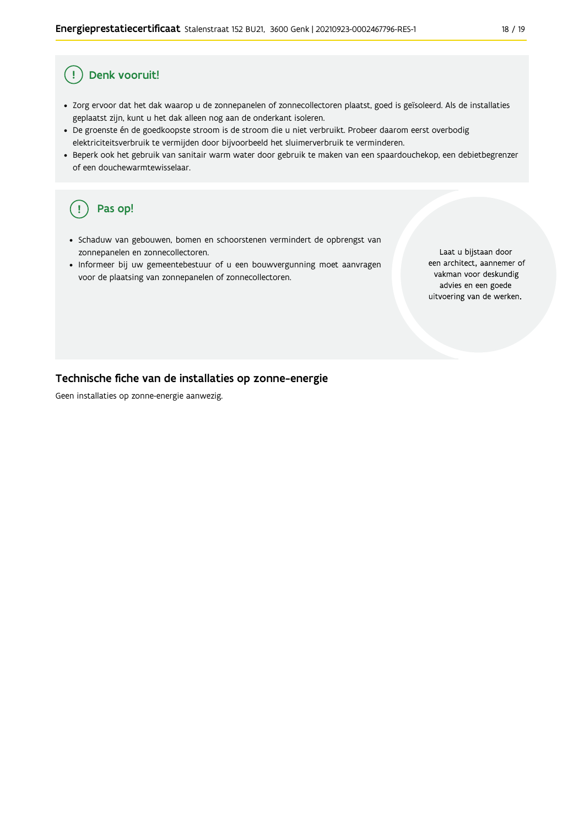#### Denk vooruit! Ţ

- · Zorg ervoor dat het dak waarop u de zonnepanelen of zonnecollectoren plaatst, goed is geïsoleerd. Als de installaties geplaatst zijn, kunt u het dak alleen nog aan de onderkant isoleren.
- · De groenste én de goedkoopste stroom is de stroom die u niet verbruikt. Probeer daarom eerst overbodig elektriciteitsverbruik te vermijden door bijvoorbeeld het sluimerverbruik te verminderen.
- · Beperk ook het gebruik van sanitair warm water door gebruik te maken van een spaardouchekop, een debietbegrenzer of een douchewarmtewisselaar.

#### Pas op! ( !

- · Schaduw van gebouwen, bomen en schoorstenen vermindert de opbrengst van zonnepanelen en zonnecollectoren.
- Informeer bij uw gemeentebestuur of u een bouwvergunning moet aanvragen voor de plaatsing van zonnepanelen of zonnecollectoren.

Laat u bijstaan door een architect, aannemer of vakman voor deskundig advies en een goede uitvoering van de werken.

#### Technische fiche van de installaties op zonne-energie

Geen installaties op zonne-energie aanwezig.